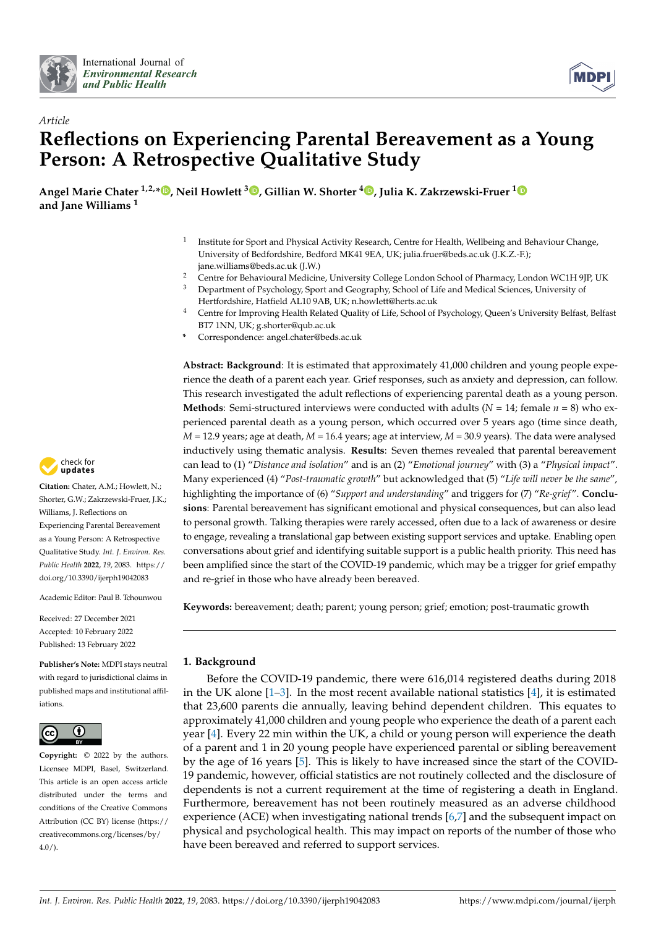



# *Article* **Reflections on Experiencing Parental Bereavement as a Young Person: A Retrospective Qualitative Study**

**Angel Marie Chater 1,2,\* [,](https://orcid.org/0000-0002-9043-2565) Neil Howlett <sup>3</sup> [,](https://orcid.org/0000-0002-6502-9969) Gillian W. Shorter [4](https://orcid.org/0000-0001-5752-2297) , Julia K. Zakrzewski-Fruer [1](https://orcid.org/0000-0003-4167-4100) and Jane Williams <sup>1</sup>**

- 1 Institute for Sport and Physical Activity Research, Centre for Health, Wellbeing and Behaviour Change, University of Bedfordshire, Bedford MK41 9EA, UK; julia.fruer@beds.ac.uk (J.K.Z.-F.); jane.williams@beds.ac.uk (J.W.)
- <sup>2</sup> Centre for Behavioural Medicine, University College London School of Pharmacy, London WC1H 9JP, UK<br><sup>3</sup> Department of Pauchelocu Sport and Coography: School of Life and Medical Sciences, University of
- <sup>3</sup> Department of Psychology, Sport and Geography, School of Life and Medical Sciences, University of Hertfordshire, Hatfield AL10 9AB, UK; n.howlett@herts.ac.uk
- <sup>4</sup> Centre for Improving Health Related Quality of Life, School of Psychology, Queen's University Belfast, Belfast BT7 1NN, UK; g.shorter@qub.ac.uk
- **\*** Correspondence: angel.chater@beds.ac.uk

**Abstract: Background**: It is estimated that approximately 41,000 children and young people experience the death of a parent each year. Grief responses, such as anxiety and depression, can follow. This research investigated the adult reflections of experiencing parental death as a young person. **Methods**: Semi-structured interviews were conducted with adults  $(N = 14$ ; female  $n = 8$ ) who experienced parental death as a young person, which occurred over 5 years ago (time since death, *M* = 12.9 years; age at death, *M* = 16.4 years; age at interview, *M* = 30.9 years). The data were analysed inductively using thematic analysis. **Results**: Seven themes revealed that parental bereavement can lead to (1) "*Distance and isolation*" and is an (2) "*Emotional journey*" with (3) a "*Physical impact*". Many experienced (4) "*Post-traumatic growth*" but acknowledged that (5) "*Life will never be the same*", highlighting the importance of (6) "*Support and understanding*" and triggers for (7) "*Re-grief* ". **Conclusions**: Parental bereavement has significant emotional and physical consequences, but can also lead to personal growth. Talking therapies were rarely accessed, often due to a lack of awareness or desire to engage, revealing a translational gap between existing support services and uptake. Enabling open conversations about grief and identifying suitable support is a public health priority. This need has been amplified since the start of the COVID-19 pandemic, which may be a trigger for grief empathy and re-grief in those who have already been bereaved.

**Keywords:** bereavement; death; parent; young person; grief; emotion; post-traumatic growth

# **1. Background**

Before the COVID-19 pandemic, there were 616,014 registered deaths during 2018 in the UK alone  $[1-3]$  $[1-3]$ . In the most recent available national statistics  $[4]$ , it is estimated that 23,600 parents die annually, leaving behind dependent children. This equates to approximately 41,000 children and young people who experience the death of a parent each year [\[4\]](#page-16-2). Every 22 min within the UK, a child or young person will experience the death of a parent and 1 in 20 young people have experienced parental or sibling bereavement by the age of 16 years [\[5\]](#page-16-3). This is likely to have increased since the start of the COVID-19 pandemic, however, official statistics are not routinely collected and the disclosure of dependents is not a current requirement at the time of registering a death in England. Furthermore, bereavement has not been routinely measured as an adverse childhood experience (ACE) when investigating national trends [\[6,](#page-16-4)[7\]](#page-16-5) and the subsequent impact on physical and psychological health. This may impact on reports of the number of those who have been bereaved and referred to support services.



**Citation:** Chater, A.M.; Howlett, N.; Shorter, G.W.; Zakrzewski-Fruer, J.K.; Williams, J. Reflections on Experiencing Parental Bereavement as a Young Person: A Retrospective Qualitative Study. *Int. J. Environ. Res. Public Health* **2022**, *19*, 2083. [https://](https://doi.org/10.3390/ijerph19042083) [doi.org/10.3390/ijerph19042083](https://doi.org/10.3390/ijerph19042083)

Academic Editor: Paul B. Tchounwou

Received: 27 December 2021 Accepted: 10 February 2022 Published: 13 February 2022

**Publisher's Note:** MDPI stays neutral with regard to jurisdictional claims in published maps and institutional affiliations.



**Copyright:** © 2022 by the authors. Licensee MDPI, Basel, Switzerland. This article is an open access article distributed under the terms and conditions of the Creative Commons Attribution (CC BY) license [\(https://](https://creativecommons.org/licenses/by/4.0/) [creativecommons.org/licenses/by/](https://creativecommons.org/licenses/by/4.0/)  $4.0/$ ).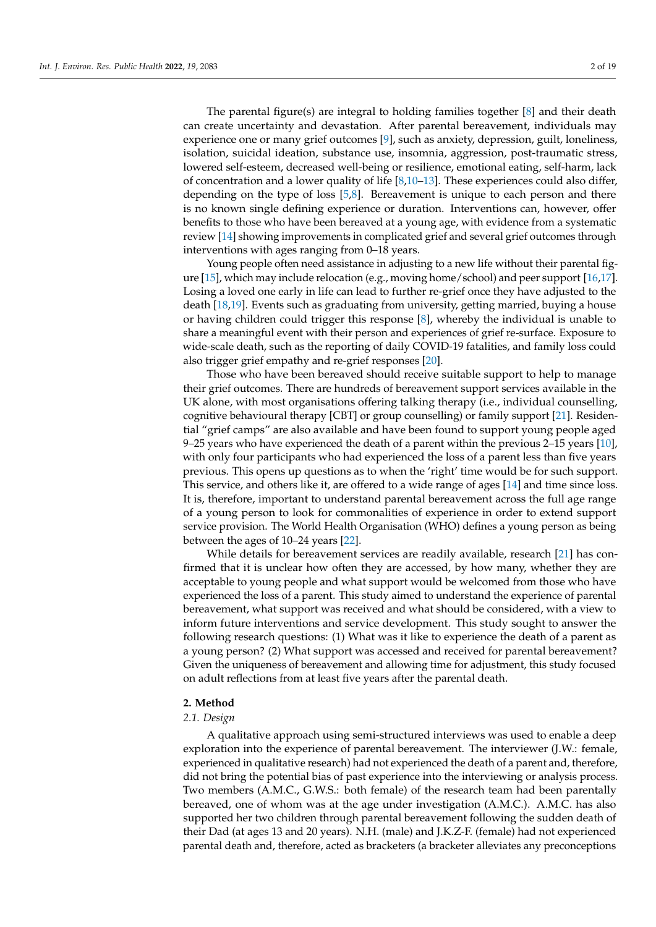The parental figure(s) are integral to holding families together [\[8\]](#page-16-6) and their death can create uncertainty and devastation. After parental bereavement, individuals may experience one or many grief outcomes [\[9\]](#page-16-7), such as anxiety, depression, guilt, loneliness, isolation, suicidal ideation, substance use, insomnia, aggression, post-traumatic stress, lowered self-esteem, decreased well-being or resilience, emotional eating, self-harm, lack of concentration and a lower quality of life  $[8,10-13]$  $[8,10-13]$  $[8,10-13]$ . These experiences could also differ, depending on the type of loss [\[5,](#page-16-3)[8\]](#page-16-6). Bereavement is unique to each person and there is no known single defining experience or duration. Interventions can, however, offer benefits to those who have been bereaved at a young age, with evidence from a systematic review [\[14\]](#page-17-1) showing improvements in complicated grief and several grief outcomes through interventions with ages ranging from 0–18 years.

Young people often need assistance in adjusting to a new life without their parental figure [\[15\]](#page-17-2), which may include relocation (e.g., moving home/school) and peer support [\[16](#page-17-3)[,17\]](#page-17-4). Losing a loved one early in life can lead to further re-grief once they have adjusted to the death [\[18](#page-17-5)[,19\]](#page-17-6). Events such as graduating from university, getting married, buying a house or having children could trigger this response [\[8\]](#page-16-6), whereby the individual is unable to share a meaningful event with their person and experiences of grief re-surface. Exposure to wide-scale death, such as the reporting of daily COVID-19 fatalities, and family loss could also trigger grief empathy and re-grief responses [\[20\]](#page-17-7).

Those who have been bereaved should receive suitable support to help to manage their grief outcomes. There are hundreds of bereavement support services available in the UK alone, with most organisations offering talking therapy (i.e., individual counselling, cognitive behavioural therapy [CBT] or group counselling) or family support [\[21\]](#page-17-8). Residential "grief camps" are also available and have been found to support young people aged 9–25 years who have experienced the death of a parent within the previous 2–15 years [\[10\]](#page-16-8), with only four participants who had experienced the loss of a parent less than five years previous. This opens up questions as to when the 'right' time would be for such support. This service, and others like it, are offered to a wide range of ages [\[14\]](#page-17-1) and time since loss. It is, therefore, important to understand parental bereavement across the full age range of a young person to look for commonalities of experience in order to extend support service provision. The World Health Organisation (WHO) defines a young person as being between the ages of 10–24 years [\[22\]](#page-17-9).

While details for bereavement services are readily available, research [\[21\]](#page-17-8) has confirmed that it is unclear how often they are accessed, by how many, whether they are acceptable to young people and what support would be welcomed from those who have experienced the loss of a parent. This study aimed to understand the experience of parental bereavement, what support was received and what should be considered, with a view to inform future interventions and service development. This study sought to answer the following research questions: (1) What was it like to experience the death of a parent as a young person? (2) What support was accessed and received for parental bereavement? Given the uniqueness of bereavement and allowing time for adjustment, this study focused on adult reflections from at least five years after the parental death.

#### **2. Method**

#### *2.1. Design*

A qualitative approach using semi-structured interviews was used to enable a deep exploration into the experience of parental bereavement. The interviewer (J.W.: female, experienced in qualitative research) had not experienced the death of a parent and, therefore, did not bring the potential bias of past experience into the interviewing or analysis process. Two members (A.M.C., G.W.S.: both female) of the research team had been parentally bereaved, one of whom was at the age under investigation (A.M.C.). A.M.C. has also supported her two children through parental bereavement following the sudden death of their Dad (at ages 13 and 20 years). N.H. (male) and J.K.Z-F. (female) had not experienced parental death and, therefore, acted as bracketers (a bracketer alleviates any preconceptions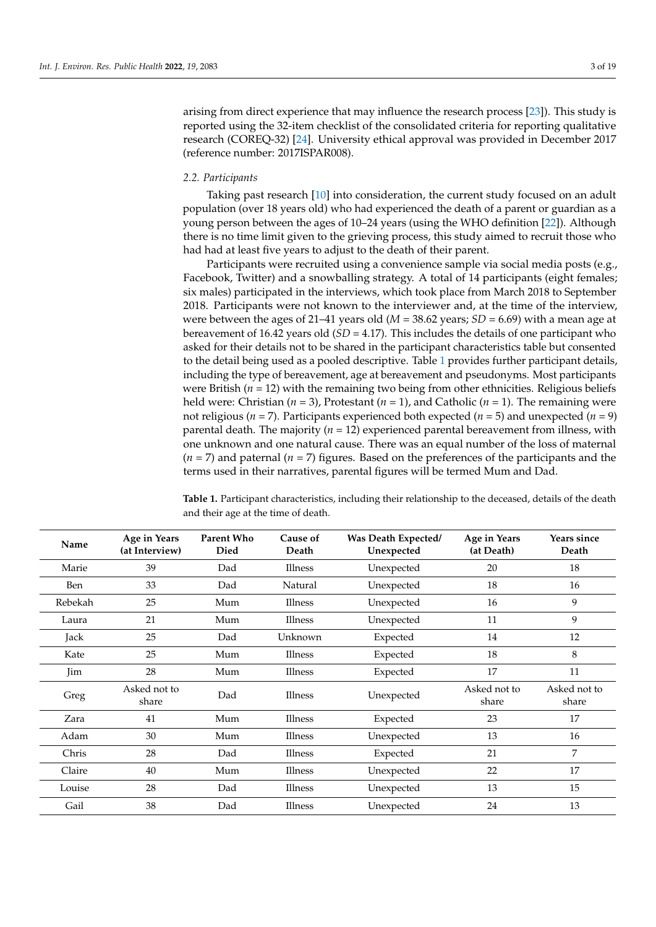arising from direct experience that may influence the research process [\[23\]](#page-17-10)). This study is reported using the 32-item checklist of the consolidated criteria for reporting qualitative research (COREQ-32) [\[24\]](#page-17-11). University ethical approval was provided in December 2017 (reference number: 2017ISPAR008).

#### *2.2. Participants*

Taking past research [\[10\]](#page-16-8) into consideration, the current study focused on an adult population (over 18 years old) who had experienced the death of a parent or guardian as a young person between the ages of 10–24 years (using the WHO definition [\[22\]](#page-17-9)). Although there is no time limit given to the grieving process, this study aimed to recruit those who had had at least five years to adjust to the death of their parent.

Participants were recruited using a convenience sample via social media posts (e.g., Facebook, Twitter) and a snowballing strategy. A total of 14 participants (eight females; six males) participated in the interviews, which took place from March 2018 to September 2018. Participants were not known to the interviewer and, at the time of the interview, were between the ages of 21–41 years old ( $M = 38.62$  years; *SD* = 6.69) with a mean age at bereavement of 16.42 years old (*SD* = 4.17). This includes the details of one participant who asked for their details not to be shared in the participant characteristics table but consented to the detail being used as a pooled descriptive. Table [1](#page-2-0) provides further participant details, including the type of bereavement, age at bereavement and pseudonyms. Most participants were British ( $n = 12$ ) with the remaining two being from other ethnicities. Religious beliefs held were: Christian (*n* = 3), Protestant (*n* = 1), and Catholic (*n* = 1). The remaining were not religious (*n* = 7). Participants experienced both expected (*n* = 5) and unexpected (*n* = 9) parental death. The majority (*n* = 12) experienced parental bereavement from illness, with one unknown and one natural cause. There was an equal number of the loss of maternal (*n* = 7) and paternal (*n* = 7) figures. Based on the preferences of the participants and the terms used in their narratives, parental figures will be termed Mum and Dad.

| Name    | Age in Years<br>(at Interview) | <b>Parent Who</b><br><b>Died</b> | Cause of<br>Death | Was Death Expected/<br>Unexpected | Age in Years<br>(at Death) | Years since<br>Death  |
|---------|--------------------------------|----------------------------------|-------------------|-----------------------------------|----------------------------|-----------------------|
| Marie   | 39                             | Dad                              | Illness           | Unexpected                        | 20                         | 18                    |
| Ben     | 33                             | Dad                              | Natural           | Unexpected                        | 18                         | 16                    |
| Rebekah | 25                             | Mum                              | <b>Illness</b>    | Unexpected                        | 16                         | 9                     |
| Laura   | 21                             | Mum                              | Illness           | Unexpected                        | 11                         | 9                     |
| Jack    | 25                             | Dad                              | Unknown           | Expected                          | 14                         | 12                    |
| Kate    | 25                             | Mum                              | Illness           | Expected                          | 18                         | 8                     |
| Jim     | 28                             | Mum                              | <b>Illness</b>    | Expected                          | 17                         | 11                    |
| Greg    | Asked not to<br>share          | Dad                              | Illness           | Unexpected                        | Asked not to<br>share      | Asked not to<br>share |
| Zara    | 41                             | Mum                              | Illness           | Expected                          | 23                         | 17                    |
| Adam    | 30                             | Mum                              | Illness           | Unexpected                        | 13                         | 16                    |
| Chris   | 28                             | Dad                              | Illness           | Expected                          | 21                         | 7                     |
| Claire  | 40                             | Mum                              | <b>Illness</b>    | Unexpected                        | 22                         | 17                    |
| Louise  | 28                             | Dad                              | Illness           | Unexpected                        | 13                         | 15                    |
| Gail    | 38                             | Dad                              | Illness           | Unexpected                        | 24                         | 13                    |

<span id="page-2-0"></span>**Table 1.** Participant characteristics, including their relationship to the deceased, details of the death and their age at the time of death.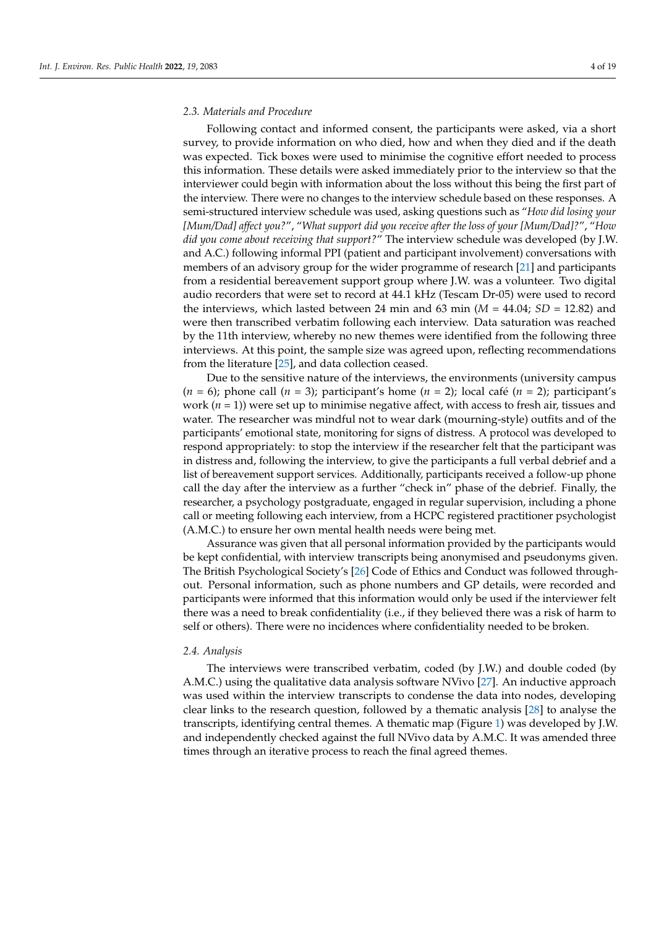#### *2.3. Materials and Procedure*

Following contact and informed consent, the participants were asked, via a short survey, to provide information on who died, how and when they died and if the death was expected. Tick boxes were used to minimise the cognitive effort needed to process this information. These details were asked immediately prior to the interview so that the interviewer could begin with information about the loss without this being the first part of the interview. There were no changes to the interview schedule based on these responses. A semi-structured interview schedule was used, asking questions such as "*How did losing your [Mum/Dad] affect you?*", "*What support did you receive after the loss of your [Mum/Dad]?*", "*How did you come about receiving that support?*" The interview schedule was developed (by J.W. and A.C.) following informal PPI (patient and participant involvement) conversations with members of an advisory group for the wider programme of research [\[21\]](#page-17-8) and participants from a residential bereavement support group where J.W. was a volunteer. Two digital audio recorders that were set to record at 44.1 kHz (Tescam Dr-05) were used to record the interviews, which lasted between 24 min and 63 min  $(M = 44.04; SD = 12.82)$  and were then transcribed verbatim following each interview. Data saturation was reached by the 11th interview, whereby no new themes were identified from the following three interviews. At this point, the sample size was agreed upon, reflecting recommendations from the literature [\[25\]](#page-17-12), and data collection ceased.

Due to the sensitive nature of the interviews, the environments (university campus  $(n = 6)$ ; phone call  $(n = 3)$ ; participant's home  $(n = 2)$ ; local café  $(n = 2)$ ; participant's work  $(n = 1)$ ) were set up to minimise negative affect, with access to fresh air, tissues and water. The researcher was mindful not to wear dark (mourning-style) outfits and of the participants' emotional state, monitoring for signs of distress. A protocol was developed to respond appropriately: to stop the interview if the researcher felt that the participant was in distress and, following the interview, to give the participants a full verbal debrief and a list of bereavement support services. Additionally, participants received a follow-up phone call the day after the interview as a further "check in" phase of the debrief. Finally, the researcher, a psychology postgraduate, engaged in regular supervision, including a phone call or meeting following each interview, from a HCPC registered practitioner psychologist (A.M.C.) to ensure her own mental health needs were being met.

Assurance was given that all personal information provided by the participants would be kept confidential, with interview transcripts being anonymised and pseudonyms given. The British Psychological Society's [\[26\]](#page-17-13) Code of Ethics and Conduct was followed throughout. Personal information, such as phone numbers and GP details, were recorded and participants were informed that this information would only be used if the interviewer felt there was a need to break confidentiality (i.e., if they believed there was a risk of harm to self or others). There were no incidences where confidentiality needed to be broken.

#### *2.4. Analysis*

The interviews were transcribed verbatim, coded (by J.W.) and double coded (by A.M.C.) using the qualitative data analysis software NVivo [\[27\]](#page-17-14). An inductive approach was used within the interview transcripts to condense the data into nodes, developing clear links to the research question, followed by a thematic analysis [\[28\]](#page-17-15) to analyse the transcripts, identifying central themes. A thematic map (Figure [1\)](#page-4-0) was developed by J.W. and independently checked against the full NVivo data by A.M.C. It was amended three times through an iterative process to reach the final agreed themes.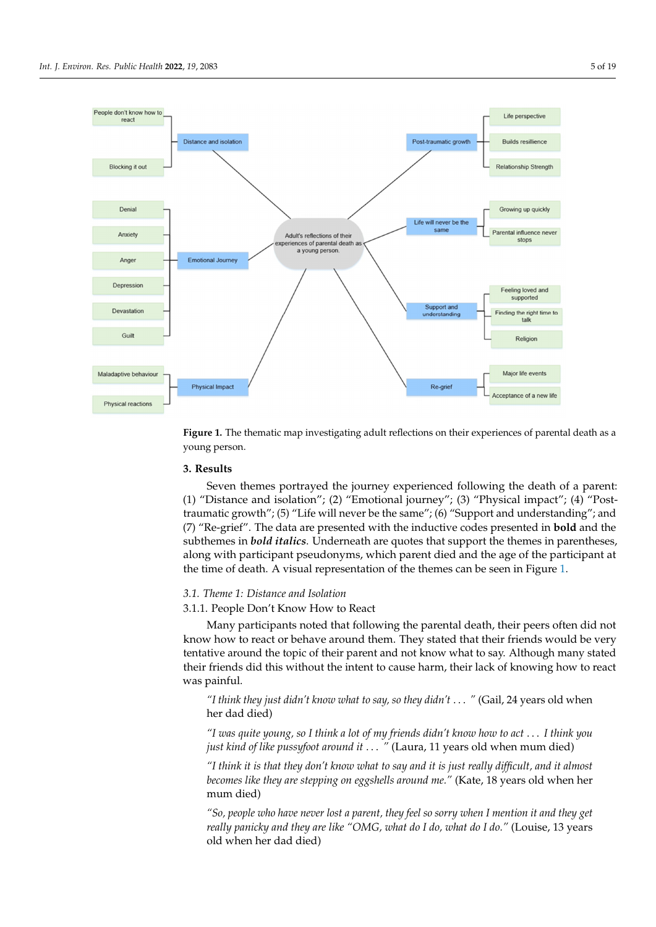<span id="page-4-0"></span>

**Figure 1.** The thematic map investigating adult reflections on their experiences of parental death as **Figure 1.** The thematic map investigating adult reflections on their experiences of parental death as a a young person. young person.

# **3. Results 3. Results**

Seven themes portrayed the journey experienced following the death of a parent: (1) (1) "Distance and isolation"; (2) "Emotional journey"; (3) "Physical impact"; (4) "Posttraumatic growth"; (5) "Life will never be the same"; (6) "Support and understanding"; and traumatic growth"; (5) "Life will never be the same"; (6) "Support and understanding"; and (7) "Re-grief". The data are presented with the inductive codes presented in **bold** and the (7) "Re-grief". The data are presented with the inductive codes presented in **bold** and the subthemes in *bold italics*. Underneath are quotes that support the themes in parentheses, along with participant pseudonyms, which parent died and the age of the participant at  $\frac{1}{2}$  the time of death  $\Delta$  visual representation of the themes can be seen in Eigure 1 the time of death. A visual representation of the themes can be seen in Figure 1. the time of death. A visual representation of the themes can be seen in Figure [1.](#page-4-0) Seven themes portrayed the journey experienced following the death of a parent:

#### *3.1. Theme 1: Distance and Isolation*

3.1.1. People Don't Know How to React

Many participants noted that following the parental death, their peers often did not know how to react or behave around them. They stated that their friends would be very tentative around the topic of their parent and not know what to say. Although many stated their friends did this without the intent to cause harm, their lack of knowing how to react was painful. When the intent to cause harmonic the intent to cause harmonic the intent to know the intention of knowing how the intention of knowing how the intention of knowing how the intention of knowing how the intenti

"I think they just didn't know what to say, so they didn't . . . " (Gail, 24 years old when her dad died)

*"I think they just didn't know what to say, so they didn't…"* (Gail, 24 years old when her dad died) *"I was quite young, so I think a lot of my friends didn't know how to act* . . . *I think you just kind of like pussyfoot around it ...* " (Laura, 11 years old when mum died)

*"I was quite young, so I think a lot of my friends didn't know how to act…I think you "I think it is that they don't know what to say and it is just really difficult, and it almost* becomes like they are stepping on eggshells around me." (Kate, 18 years old when her mum died)

*"I think it is that they don't know what to say and it is just really difficult, and it almost "So, people who have never lost a parent, they feel so sorry when I mention it and they get becomes like the contract when*  $p_{\text{mean}}$  and  $p_{\text{mean}}$  and  $p_{\text{mean}}$  and  $p_{\text{mean}}$  are like "OMG, what do I do, what do I do." (Louise, 13 years old when her dad died)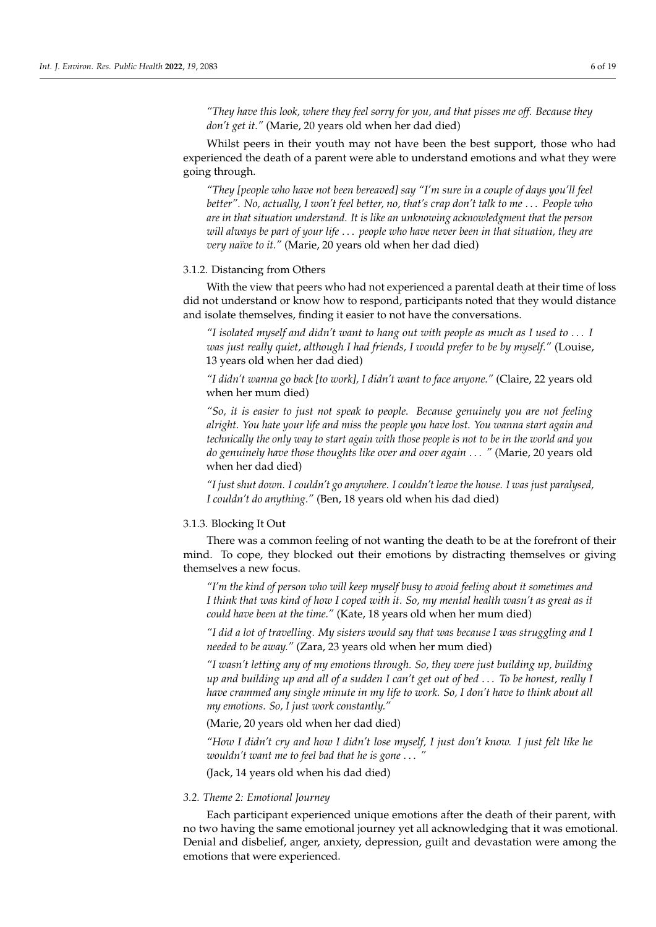*"They have this look, where they feel sorry for you, and that pisses me off. Because they don't get it."* (Marie, 20 years old when her dad died)

Whilst peers in their youth may not have been the best support, those who had experienced the death of a parent were able to understand emotions and what they were going through.

*"They [people who have not been bereaved] say "I'm sure in a couple of days you'll feel better". No, actually, I won't feel better, no, that's crap don't talk to me* . . . *People who are in that situation understand. It is like an unknowing acknowledgment that the person will always be part of your life* . . . *people who have never been in that situation, they are very naïve to it."* (Marie, 20 years old when her dad died)

# 3.1.2. Distancing from Others

With the view that peers who had not experienced a parental death at their time of loss did not understand or know how to respond, participants noted that they would distance and isolate themselves, finding it easier to not have the conversations.

*"I isolated myself and didn't want to hang out with people as much as I used to* . . . *I was just really quiet, although I had friends, I would prefer to be by myself."* (Louise, 13 years old when her dad died)

*"I didn't wanna go back [to work], I didn't want to face anyone."* (Claire, 22 years old when her mum died)

*"So, it is easier to just not speak to people. Because genuinely you are not feeling alright. You hate your life and miss the people you have lost. You wanna start again and technically the only way to start again with those people is not to be in the world and you do genuinely have those thoughts like over and over again* . . . *"* (Marie, 20 years old when her dad died)

*"I just shut down. I couldn't go anywhere. I couldn't leave the house. I was just paralysed, I couldn't do anything."* (Ben, 18 years old when his dad died)

#### 3.1.3. Blocking It Out

There was a common feeling of not wanting the death to be at the forefront of their mind. To cope, they blocked out their emotions by distracting themselves or giving themselves a new focus.

*"I'm the kind of person who will keep myself busy to avoid feeling about it sometimes and I think that was kind of how I coped with it. So, my mental health wasn't as great as it could have been at the time."* (Kate, 18 years old when her mum died)

*"I did a lot of travelling. My sisters would say that was because I was struggling and I needed to be away."* (Zara, 23 years old when her mum died)

*"I wasn't letting any of my emotions through. So, they were just building up, building up and building up and all of a sudden I can't get out of bed* . . . *To be honest, really I have crammed any single minute in my life to work. So, I don't have to think about all my emotions. So, I just work constantly."*

(Marie, 20 years old when her dad died)

*"How I didn't cry and how I didn't lose myself, I just don't know. I just felt like he wouldn't want me to feel bad that he is gone* . . . *"*

(Jack, 14 years old when his dad died)

#### *3.2. Theme 2: Emotional Journey*

Each participant experienced unique emotions after the death of their parent, with no two having the same emotional journey yet all acknowledging that it was emotional. Denial and disbelief, anger, anxiety, depression, guilt and devastation were among the emotions that were experienced.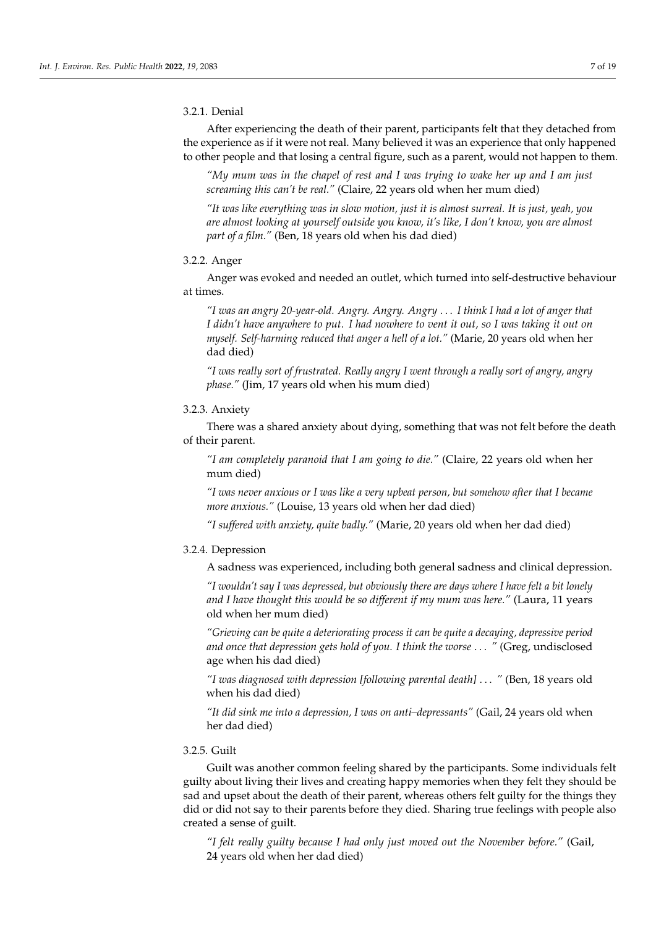#### 3.2.1. Denial

After experiencing the death of their parent, participants felt that they detached from the experience as if it were not real. Many believed it was an experience that only happened to other people and that losing a central figure, such as a parent, would not happen to them.

*"My mum was in the chapel of rest and I was trying to wake her up and I am just screaming this can't be real."* (Claire, 22 years old when her mum died)

*"It was like everything was in slow motion, just it is almost surreal. It is just, yeah, you are almost looking at yourself outside you know, it's like, I don't know, you are almost part of a film."* (Ben, 18 years old when his dad died)

# 3.2.2. Anger

Anger was evoked and needed an outlet, which turned into self-destructive behaviour at times.

*"I was an angry 20-year-old. Angry. Angry. Angry* . . . *I think I had a lot of anger that I didn't have anywhere to put. I had nowhere to vent it out, so I was taking it out on myself. Self-harming reduced that anger a hell of a lot."* (Marie, 20 years old when her dad died)

*"I was really sort of frustrated. Really angry I went through a really sort of angry, angry phase."* (Jim, 17 years old when his mum died)

# 3.2.3. Anxiety

There was a shared anxiety about dying, something that was not felt before the death of their parent.

*"I am completely paranoid that I am going to die."* (Claire, 22 years old when her mum died)

*"I was never anxious or I was like a very upbeat person, but somehow after that I became more anxious."* (Louise, 13 years old when her dad died)

*"I suffered with anxiety, quite badly."* (Marie, 20 years old when her dad died)

# 3.2.4. Depression

A sadness was experienced, including both general sadness and clinical depression.

*"I wouldn't say I was depressed, but obviously there are days where I have felt a bit lonely and I have thought this would be so different if my mum was here."* (Laura, 11 years old when her mum died)

*"Grieving can be quite a deteriorating process it can be quite a decaying, depressive period and once that depression gets hold of you. I think the worse* . . . *"* (Greg, undisclosed age when his dad died)

*"I was diagnosed with depression [following parental death]* . . . *"* (Ben, 18 years old when his dad died)

*"It did sink me into a depression, I was on anti–depressants"* (Gail, 24 years old when her dad died)

#### 3.2.5. Guilt

Guilt was another common feeling shared by the participants. Some individuals felt guilty about living their lives and creating happy memories when they felt they should be sad and upset about the death of their parent, whereas others felt guilty for the things they did or did not say to their parents before they died. Sharing true feelings with people also created a sense of guilt.

*"I felt really guilty because I had only just moved out the November before."* (Gail, 24 years old when her dad died)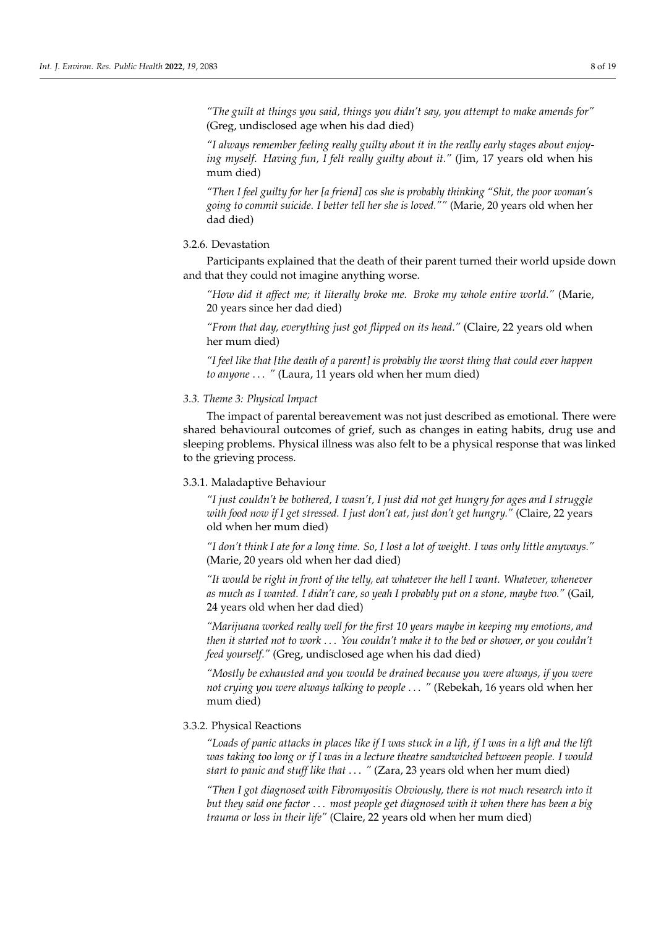*"The guilt at things you said, things you didn't say, you attempt to make amends for"* (Greg, undisclosed age when his dad died)

*"I always remember feeling really guilty about it in the really early stages about enjoying myself. Having fun, I felt really guilty about it."* (Jim, 17 years old when his mum died)

*"Then I feel guilty for her [a friend] cos she is probably thinking "Shit, the poor woman's going to commit suicide. I better tell her she is loved.""* (Marie, 20 years old when her dad died)

# 3.2.6. Devastation

Participants explained that the death of their parent turned their world upside down and that they could not imagine anything worse.

*"How did it affect me; it literally broke me. Broke my whole entire world."* (Marie, 20 years since her dad died)

*"From that day, everything just got flipped on its head."* (Claire, 22 years old when her mum died)

*"I feel like that [the death of a parent] is probably the worst thing that could ever happen to anyone* . . . *"* (Laura, 11 years old when her mum died)

### *3.3. Theme 3: Physical Impact*

The impact of parental bereavement was not just described as emotional. There were shared behavioural outcomes of grief, such as changes in eating habits, drug use and sleeping problems. Physical illness was also felt to be a physical response that was linked to the grieving process.

#### 3.3.1. Maladaptive Behaviour

*"I just couldn't be bothered, I wasn't, I just did not get hungry for ages and I struggle with food now if I get stressed. I just don't eat, just don't get hungry."* (Claire, 22 years old when her mum died)

*"I don't think I ate for a long time. So, I lost a lot of weight. I was only little anyways."* (Marie, 20 years old when her dad died)

*"It would be right in front of the telly, eat whatever the hell I want. Whatever, whenever as much as I wanted. I didn't care, so yeah I probably put on a stone, maybe two."* (Gail, 24 years old when her dad died)

*"Marijuana worked really well for the first 10 years maybe in keeping my emotions, and then it started not to work* . . . *You couldn't make it to the bed or shower, or you couldn't feed yourself."* (Greg, undisclosed age when his dad died)

*"Mostly be exhausted and you would be drained because you were always, if you were not crying you were always talking to people* . . . *"* (Rebekah, 16 years old when her mum died)

#### 3.3.2. Physical Reactions

*"Loads of panic attacks in places like if I was stuck in a lift, if I was in a lift and the lift was taking too long or if I was in a lecture theatre sandwiched between people. I would start to panic and stuff like that* . . . *"* (Zara, 23 years old when her mum died)

*"Then I got diagnosed with Fibromyositis Obviously, there is not much research into it but they said one factor* . . . *most people get diagnosed with it when there has been a big trauma or loss in their life"* (Claire, 22 years old when her mum died)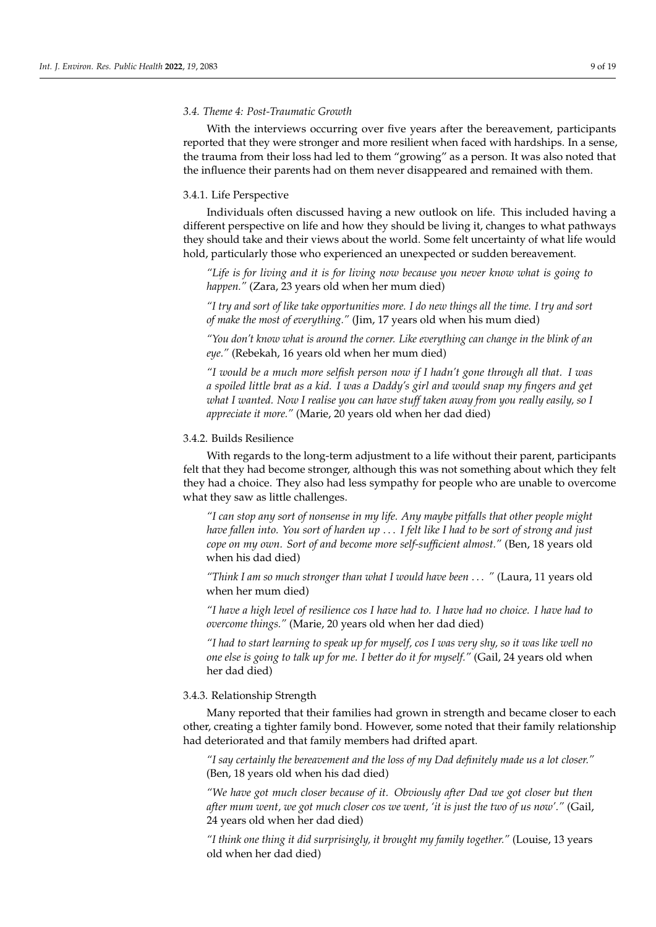#### *3.4. Theme 4: Post-Traumatic Growth*

With the interviews occurring over five years after the bereavement, participants reported that they were stronger and more resilient when faced with hardships. In a sense, the trauma from their loss had led to them "growing" as a person. It was also noted that the influence their parents had on them never disappeared and remained with them.

#### 3.4.1. Life Perspective

Individuals often discussed having a new outlook on life. This included having a different perspective on life and how they should be living it, changes to what pathways they should take and their views about the world. Some felt uncertainty of what life would hold, particularly those who experienced an unexpected or sudden bereavement.

*"Life is for living and it is for living now because you never know what is going to happen."* (Zara, 23 years old when her mum died)

*"I try and sort of like take opportunities more. I do new things all the time. I try and sort of make the most of everything."* (Jim, 17 years old when his mum died)

*"You don't know what is around the corner. Like everything can change in the blink of an eye."* (Rebekah, 16 years old when her mum died)

*"I would be a much more selfish person now if I hadn't gone through all that. I was a spoiled little brat as a kid. I was a Daddy's girl and would snap my fingers and get what I wanted. Now I realise you can have stuff taken away from you really easily, so I appreciate it more."* (Marie, 20 years old when her dad died)

### 3.4.2. Builds Resilience

With regards to the long-term adjustment to a life without their parent, participants felt that they had become stronger, although this was not something about which they felt they had a choice. They also had less sympathy for people who are unable to overcome what they saw as little challenges.

*"I can stop any sort of nonsense in my life. Any maybe pitfalls that other people might have fallen into. You sort of harden up* . . . *I felt like I had to be sort of strong and just cope on my own. Sort of and become more self-sufficient almost."* (Ben, 18 years old when his dad died)

*"Think I am so much stronger than what I would have been* . . . *"* (Laura, 11 years old when her mum died)

*"I have a high level of resilience cos I have had to. I have had no choice. I have had to overcome things."* (Marie, 20 years old when her dad died)

*"I had to start learning to speak up for myself, cos I was very shy, so it was like well no one else is going to talk up for me. I better do it for myself."* (Gail, 24 years old when her dad died)

# 3.4.3. Relationship Strength

Many reported that their families had grown in strength and became closer to each other, creating a tighter family bond. However, some noted that their family relationship had deteriorated and that family members had drifted apart.

*"I say certainly the bereavement and the loss of my Dad definitely made us a lot closer."* (Ben, 18 years old when his dad died)

*"We have got much closer because of it. Obviously after Dad we got closer but then after mum went, we got much closer cos we went, 'it is just the two of us now'."* (Gail, 24 years old when her dad died)

*"I think one thing it did surprisingly, it brought my family together."* (Louise, 13 years old when her dad died)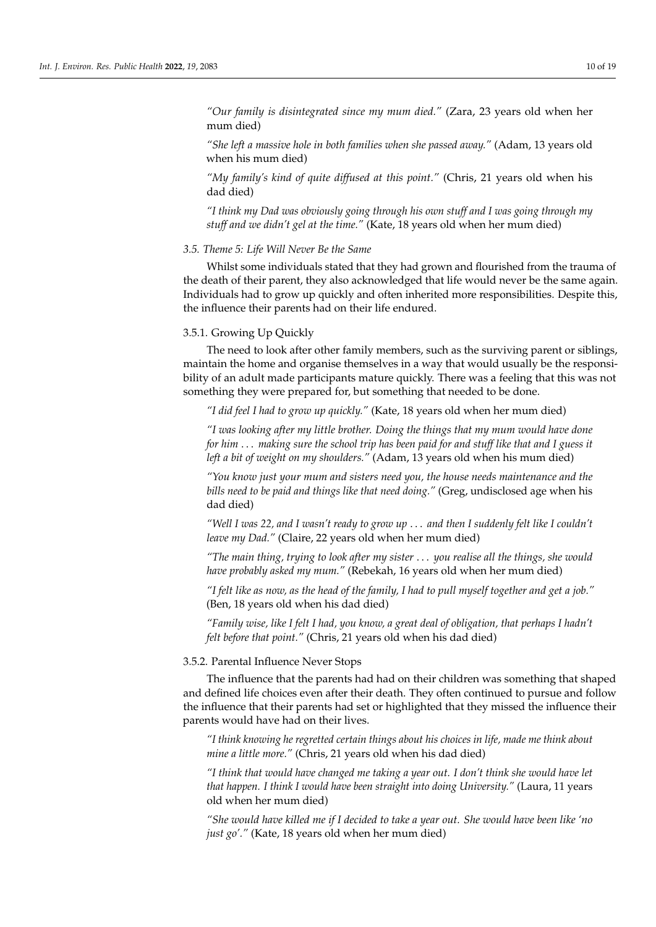*"Our family is disintegrated since my mum died."* (Zara, 23 years old when her mum died)

*"She left a massive hole in both families when she passed away."* (Adam, 13 years old when his mum died)

*"My family's kind of quite diffused at this point."* (Chris, 21 years old when his dad died)

*"I think my Dad was obviously going through his own stuff and I was going through my stuff and we didn't gel at the time."* (Kate, 18 years old when her mum died)

## *3.5. Theme 5: Life Will Never Be the Same*

Whilst some individuals stated that they had grown and flourished from the trauma of the death of their parent, they also acknowledged that life would never be the same again. Individuals had to grow up quickly and often inherited more responsibilities. Despite this, the influence their parents had on their life endured.

# 3.5.1. Growing Up Quickly

The need to look after other family members, such as the surviving parent or siblings, maintain the home and organise themselves in a way that would usually be the responsibility of an adult made participants mature quickly. There was a feeling that this was not something they were prepared for, but something that needed to be done.

*"I did feel I had to grow up quickly."* (Kate, 18 years old when her mum died)

*"I was looking after my little brother. Doing the things that my mum would have done for him* . . . *making sure the school trip has been paid for and stuff like that and I guess it left a bit of weight on my shoulders."* (Adam, 13 years old when his mum died)

*"You know just your mum and sisters need you, the house needs maintenance and the bills need to be paid and things like that need doing."* (Greg, undisclosed age when his dad died)

*"Well I was 22, and I wasn't ready to grow up* . . . *and then I suddenly felt like I couldn't leave my Dad."* (Claire, 22 years old when her mum died)

*"The main thing, trying to look after my sister* . . . *you realise all the things, she would have probably asked my mum."* (Rebekah, 16 years old when her mum died)

*"I felt like as now, as the head of the family, I had to pull myself together and get a job."* (Ben, 18 years old when his dad died)

*"Family wise, like I felt I had, you know, a great deal of obligation, that perhaps I hadn't felt before that point."* (Chris, 21 years old when his dad died)

# 3.5.2. Parental Influence Never Stops

The influence that the parents had had on their children was something that shaped and defined life choices even after their death. They often continued to pursue and follow the influence that their parents had set or highlighted that they missed the influence their parents would have had on their lives.

*"I think knowing he regretted certain things about his choices in life, made me think about mine a little more."* (Chris, 21 years old when his dad died)

*"I think that would have changed me taking a year out. I don't think she would have let that happen. I think I would have been straight into doing University."* (Laura, 11 years old when her mum died)

*"She would have killed me if I decided to take a year out. She would have been like 'no just go'."* (Kate, 18 years old when her mum died)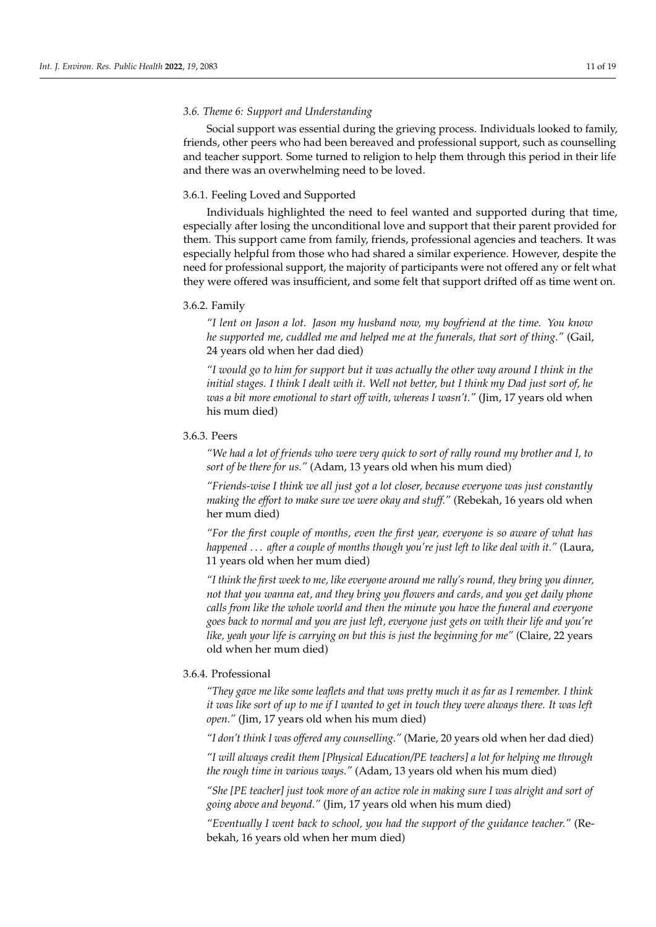### *3.6. Theme 6: Support and Understanding*

Social support was essential during the grieving process. Individuals looked to family, friends, other peers who had been bereaved and professional support, such as counselling and teacher support. Some turned to religion to help them through this period in their life and there was an overwhelming need to be loved.

# 3.6.1. Feeling Loved and Supported

Individuals highlighted the need to feel wanted and supported during that time, especially after losing the unconditional love and support that their parent provided for them. This support came from family, friends, professional agencies and teachers. It was especially helpful from those who had shared a similar experience. However, despite the need for professional support, the majority of participants were not offered any or felt what they were offered was insufficient, and some felt that support drifted off as time went on.

# 3.6.2. Family

*"I lent on Jason a lot. Jason my husband now, my boyfriend at the time. You know he supported me, cuddled me and helped me at the funerals, that sort of thing."* (Gail, 24 years old when her dad died)

*"I would go to him for support but it was actually the other way around I think in the initial stages. I think I dealt with it. Well not better, but I think my Dad just sort of, he was a bit more emotional to start off with, whereas I wasn't."* (Jim, 17 years old when his mum died)

# 3.6.3. Peers

*"We had a lot of friends who were very quick to sort of rally round my brother and I, to sort of be there for us."* (Adam, 13 years old when his mum died)

*"Friends-wise I think we all just got a lot closer, because everyone was just constantly making the effort to make sure we were okay and stuff."* (Rebekah, 16 years old when her mum died)

*"For the first couple of months, even the first year, everyone is so aware of what has happened* . . . *after a couple of months though you're just left to like deal with it."* (Laura, 11 years old when her mum died)

*"I think the first week to me, like everyone around me rally's round, they bring you dinner, not that you wanna eat, and they bring you flowers and cards, and you get daily phone calls from like the whole world and then the minute you have the funeral and everyone goes back to normal and you are just left, everyone just gets on with their life and you're like, yeah your life is carrying on but this is just the beginning for me"* (Claire, 22 years old when her mum died)

# 3.6.4. Professional

*"They gave me like some leaflets and that was pretty much it as far as I remember. I think it was like sort of up to me if I wanted to get in touch they were always there. It was left open."* (Jim, 17 years old when his mum died)

*"I don't think I was offered any counselling."* (Marie, 20 years old when her dad died)

*"I will always credit them [Physical Education/PE teachers] a lot for helping me through the rough time in various ways."* (Adam, 13 years old when his mum died)

*"She [PE teacher] just took more of an active role in making sure I was alright and sort of going above and beyond."* (Jim, 17 years old when his mum died)

*"Eventually I went back to school, you had the support of the guidance teacher."* (Rebekah, 16 years old when her mum died)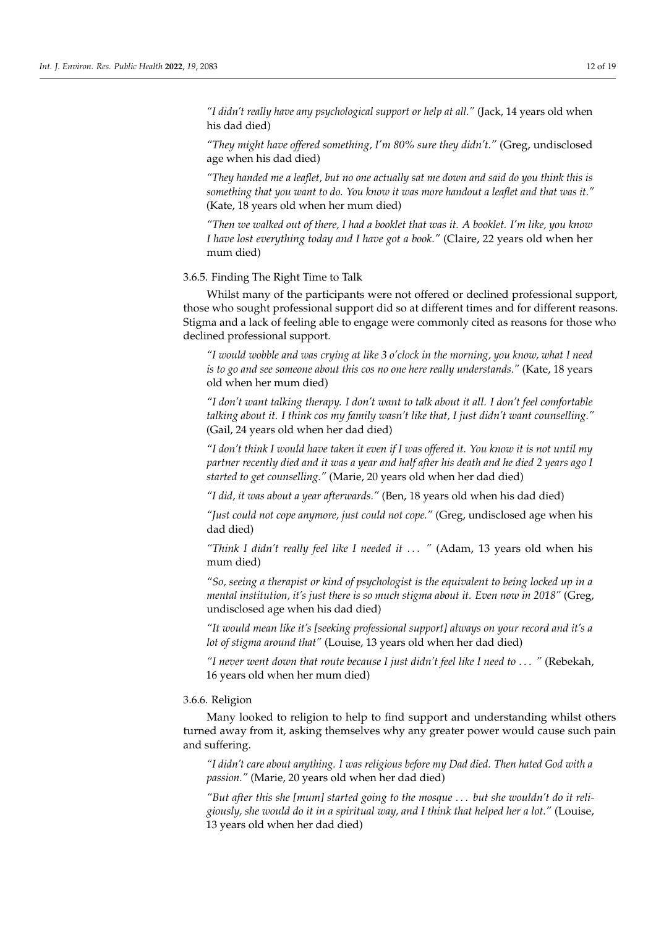*"I didn't really have any psychological support or help at all."* (Jack, 14 years old when his dad died)

*"They might have offered something, I'm 80% sure they didn't."* (Greg, undisclosed age when his dad died)

*"They handed me a leaflet, but no one actually sat me down and said do you think this is something that you want to do. You know it was more handout a leaflet and that was it."* (Kate, 18 years old when her mum died)

*"Then we walked out of there, I had a booklet that was it. A booklet. I'm like, you know I have lost everything today and I have got a book."* (Claire, 22 years old when her mum died)

3.6.5. Finding The Right Time to Talk

Whilst many of the participants were not offered or declined professional support, those who sought professional support did so at different times and for different reasons. Stigma and a lack of feeling able to engage were commonly cited as reasons for those who declined professional support.

*"I would wobble and was crying at like 3 o'clock in the morning, you know, what I need is to go and see someone about this cos no one here really understands."* (Kate, 18 years old when her mum died)

*"I don't want talking therapy. I don't want to talk about it all. I don't feel comfortable talking about it. I think cos my family wasn't like that, I just didn't want counselling."* (Gail, 24 years old when her dad died)

*"I don't think I would have taken it even if I was offered it. You know it is not until my partner recently died and it was a year and half after his death and he died 2 years ago I started to get counselling."* (Marie, 20 years old when her dad died)

*"I did, it was about a year afterwards."* (Ben, 18 years old when his dad died)

*"Just could not cope anymore, just could not cope."* (Greg, undisclosed age when his dad died)

*"Think I didn't really feel like I needed it* . . . *"* (Adam, 13 years old when his mum died)

*"So, seeing a therapist or kind of psychologist is the equivalent to being locked up in a mental institution, it's just there is so much stigma about it. Even now in 2018"* (Greg, undisclosed age when his dad died)

*"It would mean like it's [seeking professional support] always on your record and it's a lot of stigma around that"* (Louise, 13 years old when her dad died)

*"I never went down that route because I just didn't feel like I need to* . . . *"* (Rebekah, 16 years old when her mum died)

#### 3.6.6. Religion

Many looked to religion to help to find support and understanding whilst others turned away from it, asking themselves why any greater power would cause such pain and suffering.

*"I didn't care about anything. I was religious before my Dad died. Then hated God with a passion."* (Marie, 20 years old when her dad died)

*"But after this she [mum] started going to the mosque* . . . *but she wouldn't do it religiously, she would do it in a spiritual way, and I think that helped her a lot."* (Louise, 13 years old when her dad died)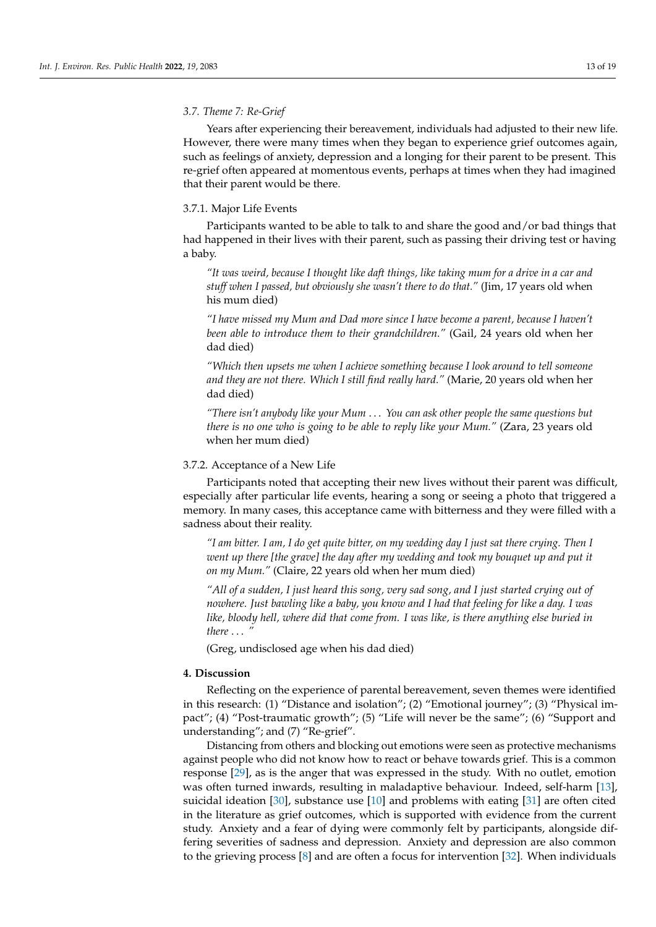# *3.7. Theme 7: Re-Grief*

Years after experiencing their bereavement, individuals had adjusted to their new life. However, there were many times when they began to experience grief outcomes again, such as feelings of anxiety, depression and a longing for their parent to be present. This re-grief often appeared at momentous events, perhaps at times when they had imagined that their parent would be there.

# 3.7.1. Major Life Events

Participants wanted to be able to talk to and share the good and/or bad things that had happened in their lives with their parent, such as passing their driving test or having a baby.

*"It was weird, because I thought like daft things, like taking mum for a drive in a car and stuff when I passed, but obviously she wasn't there to do that."* (Jim, 17 years old when his mum died)

*"I have missed my Mum and Dad more since I have become a parent, because I haven't been able to introduce them to their grandchildren."* (Gail, 24 years old when her dad died)

*"Which then upsets me when I achieve something because I look around to tell someone and they are not there. Which I still find really hard."* (Marie, 20 years old when her dad died)

*"There isn't anybody like your Mum* . . . *You can ask other people the same questions but there is no one who is going to be able to reply like your Mum."* (Zara, 23 years old when her mum died)

# 3.7.2. Acceptance of a New Life

Participants noted that accepting their new lives without their parent was difficult, especially after particular life events, hearing a song or seeing a photo that triggered a memory. In many cases, this acceptance came with bitterness and they were filled with a sadness about their reality.

*"I am bitter. I am, I do get quite bitter, on my wedding day I just sat there crying. Then I went up there [the grave] the day after my wedding and took my bouquet up and put it on my Mum."* (Claire, 22 years old when her mum died)

*"All of a sudden, I just heard this song, very sad song, and I just started crying out of nowhere. Just bawling like a baby, you know and I had that feeling for like a day. I was like, bloody hell, where did that come from. I was like, is there anything else buried in there* . . . *"*

(Greg, undisclosed age when his dad died)

# **4. Discussion**

Reflecting on the experience of parental bereavement, seven themes were identified in this research: (1) "Distance and isolation"; (2) "Emotional journey"; (3) "Physical impact"; (4) "Post-traumatic growth"; (5) "Life will never be the same"; (6) "Support and understanding"; and (7) "Re-grief".

Distancing from others and blocking out emotions were seen as protective mechanisms against people who did not know how to react or behave towards grief. This is a common response [\[29\]](#page-17-16), as is the anger that was expressed in the study. With no outlet, emotion was often turned inwards, resulting in maladaptive behaviour. Indeed, self-harm [\[13\]](#page-17-0), suicidal ideation [\[30\]](#page-17-17), substance use [\[10\]](#page-16-8) and problems with eating [\[31\]](#page-17-18) are often cited in the literature as grief outcomes, which is supported with evidence from the current study. Anxiety and a fear of dying were commonly felt by participants, alongside differing severities of sadness and depression. Anxiety and depression are also common to the grieving process [\[8\]](#page-16-6) and are often a focus for intervention [\[32\]](#page-17-19). When individuals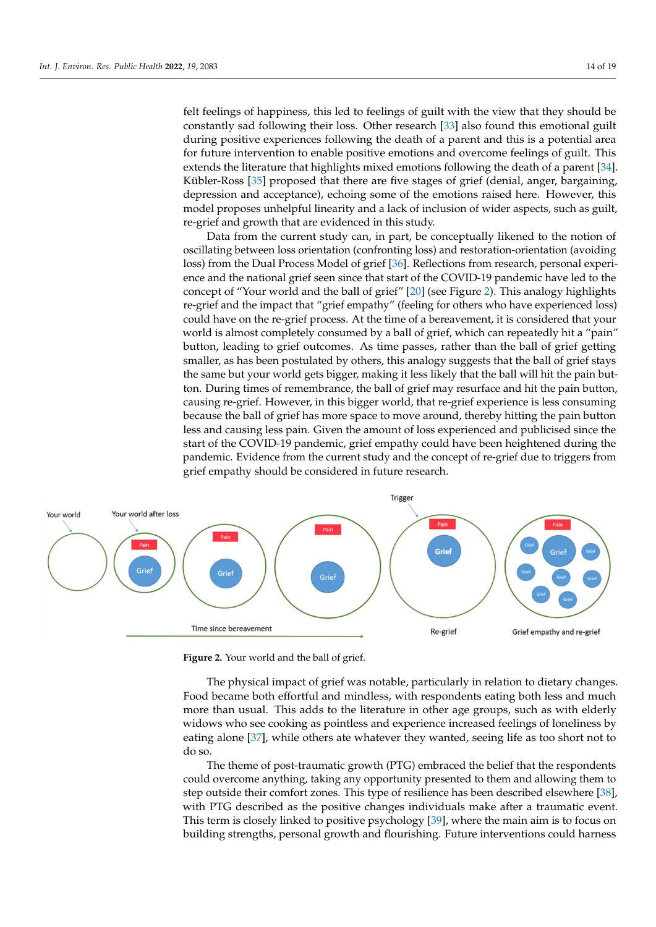felt feelings of happiness, this led to feelings of guilt with the view that they should be constantly sad following their loss. Other research [\[33\]](#page-17-20) also found this emotional guilt during positive experiences following the death of a parent and this is a potential area<br>for fotom intermediate the mothematics meeting and increased contracted for the This for future intervention to enable positive emotions and overcome feelings of guilt. This for rature intervention to enable positive emotions and overcome reemigs of gain. This extends the literature that highlights mixed emotions following the death of a parent [\[34\]](#page-17-21). Kübler-Ross [\[35\]](#page-17-22) proposed that there are five stages of grief (denial, anger, bargaining, reduced reception and acceptance), echoing some of the emotions raised here. However, this acpression and acceptance), centing some of the emotions raised nere. Trowever, and model proposes unhelpful linearity and a lack of inclusion of wider aspects, such as guilt, reader proposes annexplan interary and a new or merasteri or where as peeds, such as gain, re-grief and growth that are evidenced in this study. ten teemigs of happiness, this led to reemigs of guilt while the view that they should be acceptance of the extension some of the emotions raised here. However, the emotions raised  $\mu$  and  $\mu$  and  $\mu$  and  $\mu$  and  $\mu$  and  $\mu$  and  $\mu$  and  $\mu$  and  $\mu$  and  $\mu$  and  $\mu$  and  $\mu$  and  $\mu$  and  $\mu$  and  $\mu$ 

Data from the current study can, in part, be conceptually likened to the notion of oscillating between loss orientation (confronting loss) and restoration-orientation (avoiding loss) from the Dual Process Model of grief [\[36\]](#page-17-23). Reflections from research, personal experience and the national grief seen since that start of the COVID-19 pandemic have led to the concept of "Your world and the ball of grief" [\[20\]](#page-17-7) (see Figure [2\)](#page-13-0). This analogy highlights re-grief and the impact that "grief empathy" (feeling for others who have experienced loss) could have on the re-grief process. At the time of a bereavement, it is considered that your world is almost completely consumed by a ball of grief, which can repeatedly hit a "pain" button, leading to grief outcomes. As time passes, rather than the ball of grief getting smaller, as has been postulated by others, this analogy suggests that the ball of grief stays the same but your world gets bigger, making it less likely that the ball will hit the pain button. During times of remembrance, the ball of grief may resurface and hit the pain button, causing re-grief. However, in this bigger world, that re-grief experience is less consuming because the ball of grief has more space to move around, thereby hitting the pain button less and causing less pain. Given the amount of loss experienced and publicised since the start of the COVID-19 pandemic, grief empathy could have been heightened during the pandemic. Evidence from the current study and the concept of re-grief due to triggers from grief empathy should be considered in future research.

<span id="page-13-0"></span>

**Figure 2.** Your world and the ball of grief. **Figure 2.** Your world and the ball of grief.

The physical impact of grief was notable, particularly in relation to dietary changes. The physical impact of grief was notable, particularly in relation to dietary changes. Food became both effortful and mindless, with respondents eating both less and much more than usual. This adds to the literature in other age groups, such as with elderly widows who see cooking as pointless and experience increased feelings of loneliness by eating alone [\[37\]](#page-17-24), while others ate whatever they wanted, seeing life as too short not to do so.

The theme of post-traumatic growth (PTG) embraced the belief that the respondents could overcome anything, taking any opportunity presented to them and allowing them to step outside their comfort zones. This type of resilience has been described elsewhere [\[38\]](#page-17-25), with PTG described as the positive changes individuals make after a traumatic event. This term is closely linked to positive psychology [\[39\]](#page-18-0), where the main aim is to focus on building strengths, personal growth and flourishing. Future interventions could harness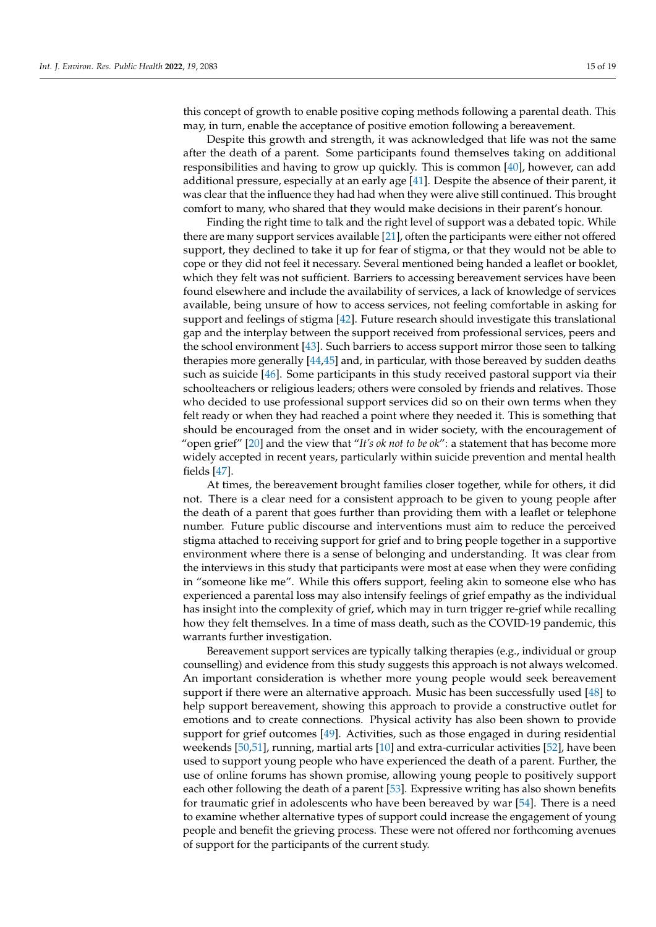this concept of growth to enable positive coping methods following a parental death. This may, in turn, enable the acceptance of positive emotion following a bereavement.

Despite this growth and strength, it was acknowledged that life was not the same after the death of a parent. Some participants found themselves taking on additional responsibilities and having to grow up quickly. This is common [\[40\]](#page-18-1), however, can add additional pressure, especially at an early age [\[41\]](#page-18-2). Despite the absence of their parent, it was clear that the influence they had had when they were alive still continued. This brought comfort to many, who shared that they would make decisions in their parent's honour.

Finding the right time to talk and the right level of support was a debated topic. While there are many support services available [\[21\]](#page-17-8), often the participants were either not offered support, they declined to take it up for fear of stigma, or that they would not be able to cope or they did not feel it necessary. Several mentioned being handed a leaflet or booklet, which they felt was not sufficient. Barriers to accessing bereavement services have been found elsewhere and include the availability of services, a lack of knowledge of services available, being unsure of how to access services, not feeling comfortable in asking for support and feelings of stigma [\[42\]](#page-18-3). Future research should investigate this translational gap and the interplay between the support received from professional services, peers and the school environment [\[43\]](#page-18-4). Such barriers to access support mirror those seen to talking therapies more generally [\[44](#page-18-5)[,45\]](#page-18-6) and, in particular, with those bereaved by sudden deaths such as suicide [\[46\]](#page-18-7). Some participants in this study received pastoral support via their schoolteachers or religious leaders; others were consoled by friends and relatives. Those who decided to use professional support services did so on their own terms when they felt ready or when they had reached a point where they needed it. This is something that should be encouraged from the onset and in wider society, with the encouragement of "open grief" [\[20\]](#page-17-7) and the view that "*It's ok not to be ok*": a statement that has become more widely accepted in recent years, particularly within suicide prevention and mental health fields [\[47\]](#page-18-8).

At times, the bereavement brought families closer together, while for others, it did not. There is a clear need for a consistent approach to be given to young people after the death of a parent that goes further than providing them with a leaflet or telephone number. Future public discourse and interventions must aim to reduce the perceived stigma attached to receiving support for grief and to bring people together in a supportive environment where there is a sense of belonging and understanding. It was clear from the interviews in this study that participants were most at ease when they were confiding in "someone like me". While this offers support, feeling akin to someone else who has experienced a parental loss may also intensify feelings of grief empathy as the individual has insight into the complexity of grief, which may in turn trigger re-grief while recalling how they felt themselves. In a time of mass death, such as the COVID-19 pandemic, this warrants further investigation.

Bereavement support services are typically talking therapies (e.g., individual or group counselling) and evidence from this study suggests this approach is not always welcomed. An important consideration is whether more young people would seek bereavement support if there were an alternative approach. Music has been successfully used [\[48\]](#page-18-9) to help support bereavement, showing this approach to provide a constructive outlet for emotions and to create connections. Physical activity has also been shown to provide support for grief outcomes [\[49\]](#page-18-10). Activities, such as those engaged in during residential weekends [\[50,](#page-18-11)[51\]](#page-18-12), running, martial arts [\[10\]](#page-16-8) and extra-curricular activities [\[52\]](#page-18-13), have been used to support young people who have experienced the death of a parent. Further, the use of online forums has shown promise, allowing young people to positively support each other following the death of a parent [\[53\]](#page-18-14). Expressive writing has also shown benefits for traumatic grief in adolescents who have been bereaved by war  $[54]$ . There is a need to examine whether alternative types of support could increase the engagement of young people and benefit the grieving process. These were not offered nor forthcoming avenues of support for the participants of the current study.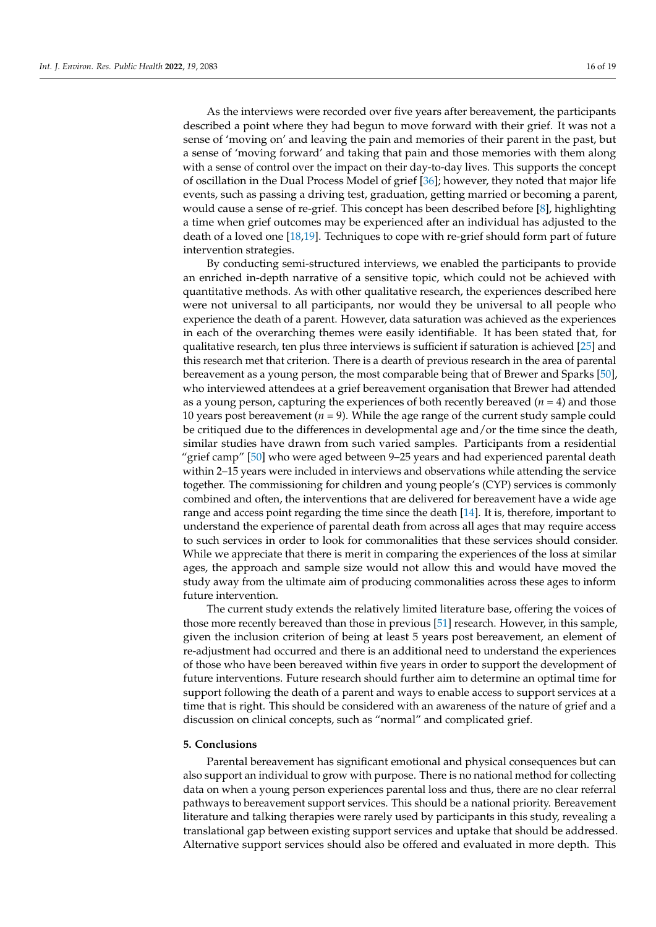As the interviews were recorded over five years after bereavement, the participants described a point where they had begun to move forward with their grief. It was not a sense of 'moving on' and leaving the pain and memories of their parent in the past, but a sense of 'moving forward' and taking that pain and those memories with them along with a sense of control over the impact on their day-to-day lives. This supports the concept of oscillation in the Dual Process Model of grief [\[36\]](#page-17-23); however, they noted that major life events, such as passing a driving test, graduation, getting married or becoming a parent, would cause a sense of re-grief. This concept has been described before [\[8\]](#page-16-6), highlighting a time when grief outcomes may be experienced after an individual has adjusted to the death of a loved one [\[18](#page-17-5)[,19\]](#page-17-6). Techniques to cope with re-grief should form part of future intervention strategies.

By conducting semi-structured interviews, we enabled the participants to provide an enriched in-depth narrative of a sensitive topic, which could not be achieved with quantitative methods. As with other qualitative research, the experiences described here were not universal to all participants, nor would they be universal to all people who experience the death of a parent. However, data saturation was achieved as the experiences in each of the overarching themes were easily identifiable. It has been stated that, for qualitative research, ten plus three interviews is sufficient if saturation is achieved [\[25\]](#page-17-12) and this research met that criterion. There is a dearth of previous research in the area of parental bereavement as a young person, the most comparable being that of Brewer and Sparks [\[50\]](#page-18-11), who interviewed attendees at a grief bereavement organisation that Brewer had attended as a young person, capturing the experiences of both recently bereaved (*n =* 4) and those 10 years post bereavement (*n* = 9). While the age range of the current study sample could be critiqued due to the differences in developmental age and/or the time since the death, similar studies have drawn from such varied samples. Participants from a residential "grief camp" [\[50\]](#page-18-11) who were aged between 9–25 years and had experienced parental death within 2–15 years were included in interviews and observations while attending the service together. The commissioning for children and young people's (CYP) services is commonly combined and often, the interventions that are delivered for bereavement have a wide age range and access point regarding the time since the death [\[14\]](#page-17-1). It is, therefore, important to understand the experience of parental death from across all ages that may require access to such services in order to look for commonalities that these services should consider. While we appreciate that there is merit in comparing the experiences of the loss at similar ages, the approach and sample size would not allow this and would have moved the study away from the ultimate aim of producing commonalities across these ages to inform future intervention.

The current study extends the relatively limited literature base, offering the voices of those more recently bereaved than those in previous [\[51\]](#page-18-12) research. However, in this sample, given the inclusion criterion of being at least 5 years post bereavement, an element of re-adjustment had occurred and there is an additional need to understand the experiences of those who have been bereaved within five years in order to support the development of future interventions. Future research should further aim to determine an optimal time for support following the death of a parent and ways to enable access to support services at a time that is right. This should be considered with an awareness of the nature of grief and a discussion on clinical concepts, such as "normal" and complicated grief.

### **5. Conclusions**

Parental bereavement has significant emotional and physical consequences but can also support an individual to grow with purpose. There is no national method for collecting data on when a young person experiences parental loss and thus, there are no clear referral pathways to bereavement support services. This should be a national priority. Bereavement literature and talking therapies were rarely used by participants in this study, revealing a translational gap between existing support services and uptake that should be addressed. Alternative support services should also be offered and evaluated in more depth. This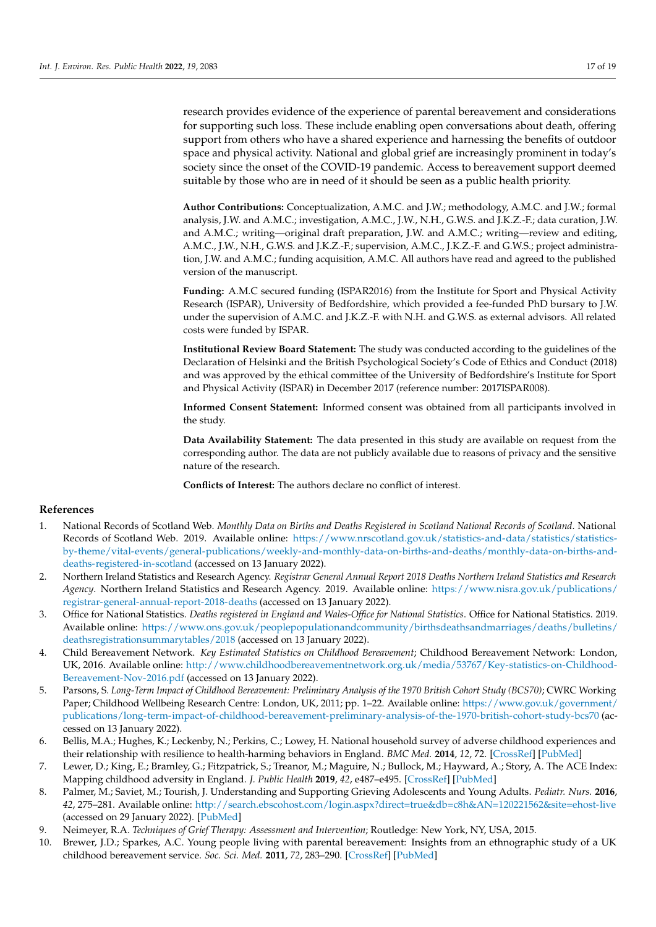research provides evidence of the experience of parental bereavement and considerations for supporting such loss. These include enabling open conversations about death, offering support from others who have a shared experience and harnessing the benefits of outdoor space and physical activity. National and global grief are increasingly prominent in today's society since the onset of the COVID-19 pandemic. Access to bereavement support deemed suitable by those who are in need of it should be seen as a public health priority.

**Author Contributions:** Conceptualization, A.M.C. and J.W.; methodology, A.M.C. and J.W.; formal analysis, J.W. and A.M.C.; investigation, A.M.C., J.W., N.H., G.W.S. and J.K.Z.-F.; data curation, J.W. and A.M.C.; writing—original draft preparation, J.W. and A.M.C.; writing—review and editing, A.M.C., J.W., N.H., G.W.S. and J.K.Z.-F.; supervision, A.M.C., J.K.Z.-F. and G.W.S.; project administration, J.W. and A.M.C.; funding acquisition, A.M.C. All authors have read and agreed to the published version of the manuscript.

**Funding:** A.M.C secured funding (ISPAR2016) from the Institute for Sport and Physical Activity Research (ISPAR), University of Bedfordshire, which provided a fee-funded PhD bursary to J.W. under the supervision of A.M.C. and J.K.Z.-F. with N.H. and G.W.S. as external advisors. All related costs were funded by ISPAR.

**Institutional Review Board Statement:** The study was conducted according to the guidelines of the Declaration of Helsinki and the British Psychological Society's Code of Ethics and Conduct (2018) and was approved by the ethical committee of the University of Bedfordshire's Institute for Sport and Physical Activity (ISPAR) in December 2017 (reference number: 2017ISPAR008).

**Informed Consent Statement:** Informed consent was obtained from all participants involved in the study.

**Data Availability Statement:** The data presented in this study are available on request from the corresponding author. The data are not publicly available due to reasons of privacy and the sensitive nature of the research.

**Conflicts of Interest:** The authors declare no conflict of interest.

# **References**

- <span id="page-16-0"></span>1. National Records of Scotland Web. *Monthly Data on Births and Deaths Registered in Scotland National Records of Scotland*. National Records of Scotland Web. 2019. Available online: [https://www.nrscotland.gov.uk/statistics-and-data/statistics/statistics](https://www.nrscotland.gov.uk/statistics-and-data/statistics/statistics-by-theme/vital-events/general-publications/weekly-and-monthly-data-on-births-and-deaths/monthly-data-on-births-and-deaths-registered-in-scotland)[by-theme/vital-events/general-publications/weekly-and-monthly-data-on-births-and-deaths/monthly-data-on-births-and](https://www.nrscotland.gov.uk/statistics-and-data/statistics/statistics-by-theme/vital-events/general-publications/weekly-and-monthly-data-on-births-and-deaths/monthly-data-on-births-and-deaths-registered-in-scotland)[deaths-registered-in-scotland](https://www.nrscotland.gov.uk/statistics-and-data/statistics/statistics-by-theme/vital-events/general-publications/weekly-and-monthly-data-on-births-and-deaths/monthly-data-on-births-and-deaths-registered-in-scotland) (accessed on 13 January 2022).
- 2. Northern Ireland Statistics and Research Agency. *Registrar General Annual Report 2018 Deaths Northern Ireland Statistics and Research Agency*. Northern Ireland Statistics and Research Agency. 2019. Available online: [https://www.nisra.gov.uk/publications/](https://www.nisra.gov.uk/publications/registrar-general-annual-report-2018-deaths) [registrar-general-annual-report-2018-deaths](https://www.nisra.gov.uk/publications/registrar-general-annual-report-2018-deaths) (accessed on 13 January 2022).
- <span id="page-16-1"></span>3. Office for National Statistics. *Deaths registered in England and Wales-Office for National Statistics*. Office for National Statistics. 2019. Available online: [https://www.ons.gov.uk/peoplepopulationandcommunity/birthsdeathsandmarriages/deaths/bulletins/](https://www.ons.gov.uk/peoplepopulationandcommunity/birthsdeathsandmarriages/deaths/bulletins/deathsregistrationsummarytables/2018) [deathsregistrationsummarytables/2018](https://www.ons.gov.uk/peoplepopulationandcommunity/birthsdeathsandmarriages/deaths/bulletins/deathsregistrationsummarytables/2018) (accessed on 13 January 2022).
- <span id="page-16-2"></span>4. Child Bereavement Network. *Key Estimated Statistics on Childhood Bereavement*; Childhood Bereavement Network: London, UK, 2016. Available online: [http://www.childhoodbereavementnetwork.org.uk/media/53767/Key-statistics-on-Childhood-](http://www.childhoodbereavementnetwork.org.uk/media/53767/Key-statistics-on-Childhood-Bereavement-Nov-2016.pdf)[Bereavement-Nov-2016.pdf](http://www.childhoodbereavementnetwork.org.uk/media/53767/Key-statistics-on-Childhood-Bereavement-Nov-2016.pdf) (accessed on 13 January 2022).
- <span id="page-16-3"></span>5. Parsons, S. *Long-Term Impact of Childhood Bereavement: Preliminary Analysis of the 1970 British Cohort Study (BCS70)*; CWRC Working Paper; Childhood Wellbeing Research Centre: London, UK, 2011; pp. 1–22. Available online: [https://www.gov.uk/government/](https://www.gov.uk/government/publications/long-term-impact-of-childhood-bereavement-preliminary-analysis-of-the-1970-british-cohort-study-bcs70) [publications/long-term-impact-of-childhood-bereavement-preliminary-analysis-of-the-1970-british-cohort-study-bcs70](https://www.gov.uk/government/publications/long-term-impact-of-childhood-bereavement-preliminary-analysis-of-the-1970-british-cohort-study-bcs70) (accessed on 13 January 2022).
- <span id="page-16-4"></span>6. Bellis, M.A.; Hughes, K.; Leckenby, N.; Perkins, C.; Lowey, H. National household survey of adverse childhood experiences and their relationship with resilience to health-harming behaviors in England. *BMC Med.* **2014**, *12*, 72. [\[CrossRef\]](http://doi.org/10.1186/1741-7015-12-72) [\[PubMed\]](http://www.ncbi.nlm.nih.gov/pubmed/24886026)
- <span id="page-16-5"></span>7. Lewer, D.; King, E.; Bramley, G.; Fitzpatrick, S.; Treanor, M.; Maguire, N.; Bullock, M.; Hayward, A.; Story, A. The ACE Index: Mapping childhood adversity in England. *J. Public Health* **2019**, *42*, e487–e495. [\[CrossRef\]](http://doi.org/10.1093/pubmed/fdz158) [\[PubMed\]](http://www.ncbi.nlm.nih.gov/pubmed/31883007)
- <span id="page-16-6"></span>8. Palmer, M.; Saviet, M.; Tourish, J. Understanding and Supporting Grieving Adolescents and Young Adults. *Pediatr. Nurs.* **2016**, *42*, 275–281. Available online: <http://search.ebscohost.com/login.aspx?direct=true&db=c8h&AN=120221562&site=ehost-live> (accessed on 29 January 2022). [\[PubMed\]](http://www.ncbi.nlm.nih.gov/pubmed/29406651)
- <span id="page-16-7"></span>9. Neimeyer, R.A. *Techniques of Grief Therapy: Assessment and Intervention*; Routledge: New York, NY, USA, 2015.
- <span id="page-16-8"></span>10. Brewer, J.D.; Sparkes, A.C. Young people living with parental bereavement: Insights from an ethnographic study of a UK childhood bereavement service. *Soc. Sci. Med.* **2011**, *72*, 283–290. [\[CrossRef\]](http://doi.org/10.1016/j.socscimed.2010.10.032) [\[PubMed\]](http://www.ncbi.nlm.nih.gov/pubmed/21146275)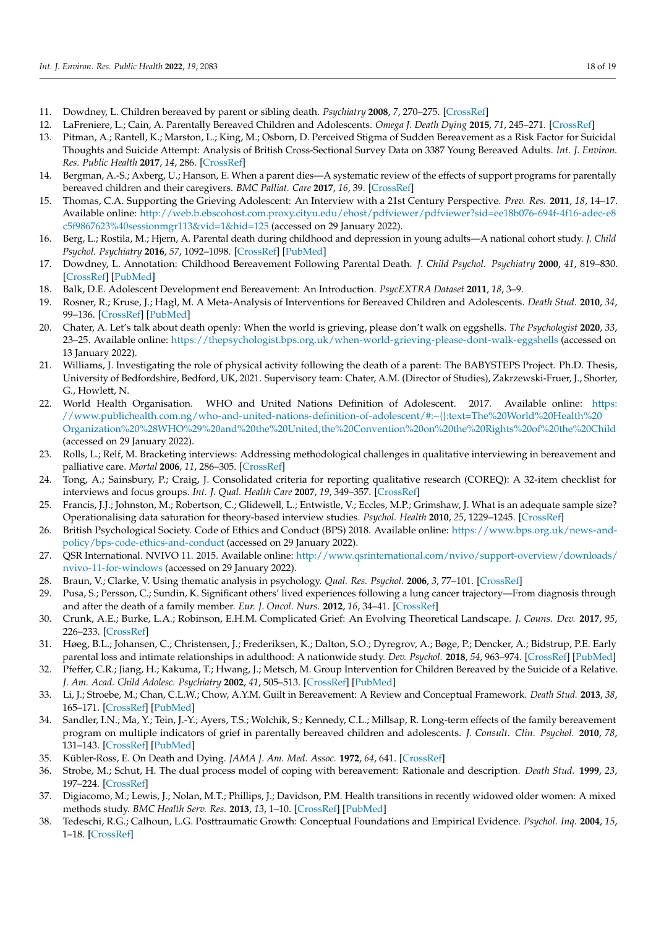- 11. Dowdney, L. Children bereaved by parent or sibling death. *Psychiatry* **2008**, *7*, 270–275. [\[CrossRef\]](http://doi.org/10.1016/j.mppsy.2008.04.007)
- 12. LaFreniere, L.; Cain, A. Parentally Bereaved Children and Adolescents. *Omega J. Death Dying* **2015**, *71*, 245–271. [\[CrossRef\]](http://doi.org/10.1177/0030222815575503)
- <span id="page-17-0"></span>13. Pitman, A.; Rantell, K.; Marston, L.; King, M.; Osborn, D. Perceived Stigma of Sudden Bereavement as a Risk Factor for Suicidal Thoughts and Suicide Attempt: Analysis of British Cross-Sectional Survey Data on 3387 Young Bereaved Adults. *Int. J. Environ. Res. Public Health* **2017**, *14*, 286. [\[CrossRef\]](http://doi.org/10.3390/ijerph14030286)
- <span id="page-17-1"></span>14. Bergman, A.-S.; Axberg, U.; Hanson, E. When a parent dies—A systematic review of the effects of support programs for parentally bereaved children and their caregivers. *BMC Palliat. Care* **2017**, *16*, 39. [\[CrossRef\]](http://doi.org/10.1186/s12904-017-0223-y)
- <span id="page-17-2"></span>15. Thomas, C.A. Supporting the Grieving Adolescent: An Interview with a 21st Century Perspective. *Prev. Res.* **2011**, *18*, 14–17. Available online: [http://web.b.ebscohost.com.proxy.cityu.edu/ehost/pdfviewer/pdfviewer?sid=ee18b076-694f-4f16-adec-e8](http://web.b.ebscohost.com.proxy.cityu.edu/ehost/pdfviewer/pdfviewer?sid=ee18b076-694f-4f16-adec-e8c5f9867623%40sessionmgr113&vid=1&hid=125) [c5f9867623%40sessionmgr113&vid=1&hid=125](http://web.b.ebscohost.com.proxy.cityu.edu/ehost/pdfviewer/pdfviewer?sid=ee18b076-694f-4f16-adec-e8c5f9867623%40sessionmgr113&vid=1&hid=125) (accessed on 29 January 2022).
- <span id="page-17-3"></span>16. Berg, L.; Rostila, M.; Hjern, A. Parental death during childhood and depression in young adults—A national cohort study. *J. Child Psychol. Psychiatry* **2016**, *57*, 1092–1098. [\[CrossRef\]](http://doi.org/10.1111/jcpp.12560) [\[PubMed\]](http://www.ncbi.nlm.nih.gov/pubmed/27058980)
- <span id="page-17-4"></span>17. Dowdney, L. Annotation: Childhood Bereavement Following Parental Death. *J. Child Psychol. Psychiatry* **2000**, *41*, 819–830. [\[CrossRef\]](http://doi.org/10.1111/1469-7610.00670) [\[PubMed\]](http://www.ncbi.nlm.nih.gov/pubmed/11079425)
- <span id="page-17-5"></span>18. Balk, D.E. Adolescent Development end Bereavement: An Introduction. *PsycEXTRA Dataset* **2011**, *18*, 3–9.
- <span id="page-17-6"></span>19. Rosner, R.; Kruse, J.; Hagl, M. A Meta-Analysis of Interventions for Bereaved Children and Adolescents. *Death Stud.* **2010**, *34*, 99–136. [\[CrossRef\]](http://doi.org/10.1080/07481180903492422) [\[PubMed\]](http://www.ncbi.nlm.nih.gov/pubmed/24479177)
- <span id="page-17-7"></span>20. Chater, A. Let's talk about death openly: When the world is grieving, please don't walk on eggshells. *The Psychologist* **2020**, *33*, 23–25. Available online: <https://thepsychologist.bps.org.uk/when-world-grieving-please-dont-walk-eggshells> (accessed on 13 January 2022).
- <span id="page-17-8"></span>21. Williams, J. Investigating the role of physical activity following the death of a parent: The BABYSTEPS Project. Ph.D. Thesis, University of Bedfordshire, Bedford, UK, 2021. Supervisory team: Chater, A.M. (Director of Studies), Zakrzewski-Fruer, J., Shorter, G., Howlett, N.
- <span id="page-17-9"></span>22. World Health Organisation. WHO and United Nations Definition of Adolescent. 2017. Available online: [https:](https://www.publichealth.com.ng/who-and-united-nations-definition-of-adolescent/#:~{}:text=The%20World%20Health%20Organization%20%28WHO%29%20and%20the%20United,the%20Convention%20on%20the%20Rights%20of%20the%20Child) [//www.publichealth.com.ng/who-and-united-nations-definition-of-adolescent/#:~{}:text=The%20World%20Health%20](https://www.publichealth.com.ng/who-and-united-nations-definition-of-adolescent/#:~{}:text=The%20World%20Health%20Organization%20%28WHO%29%20and%20the%20United,the%20Convention%20on%20the%20Rights%20of%20the%20Child) [Organization%20%28WHO%29%20and%20the%20United,the%20Convention%20on%20the%20Rights%20of%20the%20Child](https://www.publichealth.com.ng/who-and-united-nations-definition-of-adolescent/#:~{}:text=The%20World%20Health%20Organization%20%28WHO%29%20and%20the%20United,the%20Convention%20on%20the%20Rights%20of%20the%20Child) (accessed on 29 January 2022).
- <span id="page-17-10"></span>23. Rolls, L.; Relf, M. Bracketing interviews: Addressing methodological challenges in qualitative interviewing in bereavement and palliative care. *Mortal* **2006**, *11*, 286–305. [\[CrossRef\]](http://doi.org/10.1080/13576270600774893)
- <span id="page-17-11"></span>24. Tong, A.; Sainsbury, P.; Craig, J. Consolidated criteria for reporting qualitative research (COREQ): A 32-item checklist for interviews and focus groups. *Int. J. Qual. Health Care* **2007**, *19*, 349–357. [\[CrossRef\]](http://doi.org/10.1093/intqhc/mzm042)
- <span id="page-17-12"></span>25. Francis, J.J.; Johnston, M.; Robertson, C.; Glidewell, L.; Entwistle, V.; Eccles, M.P.; Grimshaw, J. What is an adequate sample size? Operationalising data saturation for theory-based interview studies. *Psychol. Health* **2010**, *25*, 1229–1245. [\[CrossRef\]](http://doi.org/10.1080/08870440903194015)
- <span id="page-17-13"></span>26. British Psychological Society. Code of Ethics and Conduct (BPS) 2018. Available online: [https://www.bps.org.uk/news-and](https://www.bps.org.uk/news-and-policy/bps-code-ethics-and-conduct)[policy/bps-code-ethics-and-conduct](https://www.bps.org.uk/news-and-policy/bps-code-ethics-and-conduct) (accessed on 29 January 2022).
- <span id="page-17-14"></span>27. QSR International. NVIVO 11. 2015. Available online: [http://www.qsrinternational.com/nvivo/support-overview/downloads/](http://www.qsrinternational.com/nvivo/support-overview/downloads/nvivo-11-for-windows) [nvivo-11-for-windows](http://www.qsrinternational.com/nvivo/support-overview/downloads/nvivo-11-for-windows) (accessed on 29 January 2022).
- <span id="page-17-15"></span>28. Braun, V.; Clarke, V. Using thematic analysis in psychology. *Qual. Res. Psychol.* **2006**, *3*, 77–101. [\[CrossRef\]](http://doi.org/10.1191/1478088706qp063oa)
- <span id="page-17-16"></span>29. Pusa, S.; Persson, C.; Sundin, K. Significant others' lived experiences following a lung cancer trajectory—From diagnosis through and after the death of a family member. *Eur. J. Oncol. Nurs.* **2012**, *16*, 34–41. [\[CrossRef\]](http://doi.org/10.1016/j.ejon.2011.02.004)
- <span id="page-17-17"></span>30. Crunk, A.E.; Burke, L.A.; Robinson, E.H.M. Complicated Grief: An Evolving Theoretical Landscape. *J. Couns. Dev.* **2017**, *95*, 226–233. [\[CrossRef\]](http://doi.org/10.1002/jcad.12134)
- <span id="page-17-18"></span>31. Høeg, B.L.; Johansen, C.; Christensen, J.; Frederiksen, K.; Dalton, S.O.; Dyregrov, A.; Bøge, P.; Dencker, A.; Bidstrup, P.E. Early parental loss and intimate relationships in adulthood: A nationwide study. *Dev. Psychol.* **2018**, *54*, 963–974. [\[CrossRef\]](http://doi.org/10.1037/dev0000483) [\[PubMed\]](http://www.ncbi.nlm.nih.gov/pubmed/29369655)
- <span id="page-17-19"></span>32. Pfeffer, C.R.; Jiang, H.; Kakuma, T.; Hwang, J.; Metsch, M. Group Intervention for Children Bereaved by the Suicide of a Relative. *J. Am. Acad. Child Adolesc. Psychiatry* **2002**, *41*, 505–513. [\[CrossRef\]](http://doi.org/10.1097/00004583-200205000-00007) [\[PubMed\]](http://www.ncbi.nlm.nih.gov/pubmed/12014782)
- <span id="page-17-20"></span>33. Li, J.; Stroebe, M.; Chan, C.L.W.; Chow, A.Y.M. Guilt in Bereavement: A Review and Conceptual Framework. *Death Stud.* **2013**, *38*, 165–171. [\[CrossRef\]](http://doi.org/10.1080/07481187.2012.738770) [\[PubMed\]](http://www.ncbi.nlm.nih.gov/pubmed/24524544)
- <span id="page-17-21"></span>34. Sandler, I.N.; Ma, Y.; Tein, J.-Y.; Ayers, T.S.; Wolchik, S.; Kennedy, C.L.; Millsap, R. Long-term effects of the family bereavement program on multiple indicators of grief in parentally bereaved children and adolescents. *J. Consult. Clin. Psychol.* **2010**, *78*, 131–143. [\[CrossRef\]](http://doi.org/10.1037/a0018393) [\[PubMed\]](http://www.ncbi.nlm.nih.gov/pubmed/20350025)
- <span id="page-17-22"></span>35. Kübler-Ross, E. On Death and Dying. *JAMA J. Am. Med. Assoc.* **1972**, *64*, 641. [\[CrossRef\]](http://doi.org/10.1001/jama.1972.03200150040010)
- <span id="page-17-23"></span>36. Strobe, M.; Schut, H. The dual process model of coping with bereavement: Rationale and description. *Death Stud.* **1999**, *23*, 197–224. [\[CrossRef\]](http://doi.org/10.1080/074811899201046)
- <span id="page-17-24"></span>37. Digiacomo, M.; Lewis, J.; Nolan, M.T.; Phillips, J.; Davidson, P.M. Health transitions in recently widowed older women: A mixed methods study. *BMC Health Serv. Res.* **2013**, *13*, 1–10. [\[CrossRef\]](http://doi.org/10.1186/1472-6963-13-143) [\[PubMed\]](http://www.ncbi.nlm.nih.gov/pubmed/23597163)
- <span id="page-17-25"></span>38. Tedeschi, R.G.; Calhoun, L.G. Posttraumatic Growth: Conceptual Foundations and Empirical Evidence. *Psychol. Inq.* **2004**, *15*, 1–18. [\[CrossRef\]](http://doi.org/10.1207/s15327965pli1501_01)